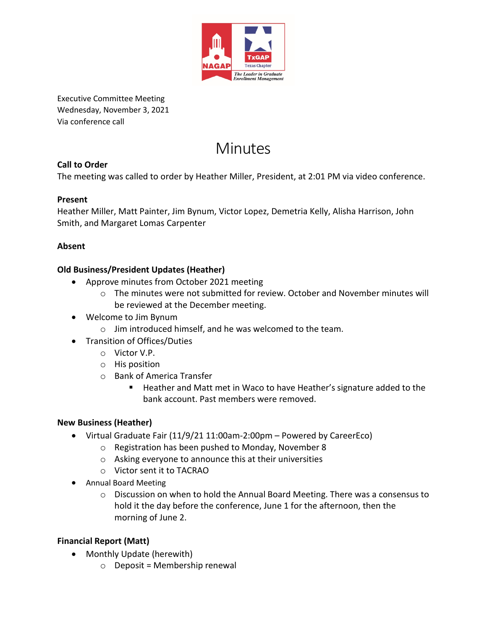

Executive Committee Meeting Wednesday, November 3, 2021 Via conference call

# Minutes

### **Call to Order**

The meeting was called to order by Heather Miller, President, at 2:01 PM via video conference.

#### **Present**

Heather Miller, Matt Painter, Jim Bynum, Victor Lopez, Demetria Kelly, Alisha Harrison, John Smith, and Margaret Lomas Carpenter

#### **Absent**

#### **Old Business/President Updates (Heather)**

- Approve minutes from October 2021 meeting
	- $\circ$  The minutes were not submitted for review. October and November minutes will be reviewed at the December meeting.
- Welcome to Jim Bynum
	- o Jim introduced himself, and he was welcomed to the team.
- Transition of Offices/Duties
	- o Victor V.P.
	- o His position
	- o Bank of America Transfer
		- Heather and Matt met in Waco to have Heather's signature added to the bank account. Past members were removed.

#### **New Business (Heather)**

- Virtual Graduate Fair (11/9/21 11:00am-2:00pm Powered by CareerEco)
	- o Registration has been pushed to Monday, November 8
	- o Asking everyone to announce this at their universities
	- o Victor sent it to TACRAO
- Annual Board Meeting
	- o Discussion on when to hold the Annual Board Meeting. There was a consensus to hold it the day before the conference, June 1 for the afternoon, then the morning of June 2.

#### **Financial Report (Matt)**

- Monthly Update (herewith)
	- $\circ$  Deposit = Membership renewal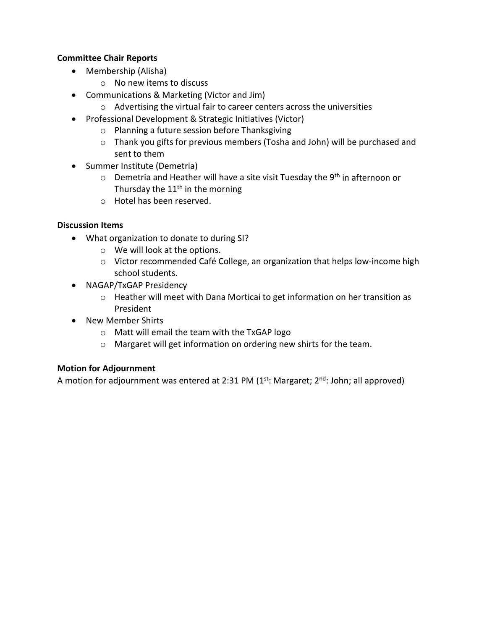#### **Committee Chair Reports**

- Membership (Alisha)
	- o No new items to discuss
- Communications & Marketing (Victor and Jim)
	- o Advertising the virtual fair to career centers across the universities
- Professional Development & Strategic Initiatives (Victor)
	- o Planning a future session before Thanksgiving
	- o Thank you gifts for previous members (Tosha and John) will be purchased and sent to them
- Summer Institute (Demetria)
	- $\circ$  Demetria and Heather will have a site visit Tuesday the 9<sup>th</sup> in afternoon or Thursday the  $11<sup>th</sup>$  in the morning
	- o Hotel has been reserved.

#### **Discussion Items**

- What organization to donate to during SI?
	- o We will look at the options.
	- o Victor recommended Café College, an organization that helps low-income high school students.
- NAGAP/TxGAP Presidency
	- o Heather will meet with Dana Morticai to get information on her transition as President
- New Member Shirts
	- o Matt will email the team with the TxGAP logo
	- o Margaret will get information on ordering new shirts for the team.

#### **Motion for Adjournment**

A motion for adjournment was entered at 2:31 PM  $(1<sup>st</sup>:$  Margaret;  $2<sup>nd</sup>:$  John; all approved)